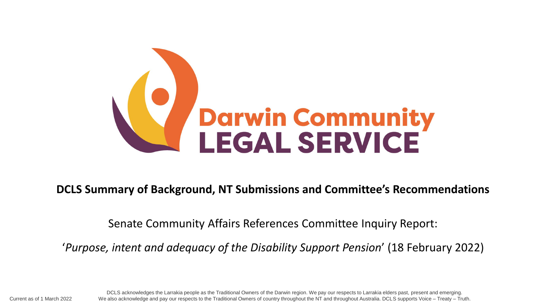

**DCLS Summary of Background, NT Submissions and Committee's Recommendations**

Senate Community Affairs References Committee Inquiry Report:

'*Purpose, intent and adequacy of the Disability Support Pension*' (18 February 2022)

DCLS acknowledges the Larrakia people as the Traditional Owners of the Darwin region. We pay our respects to Larrakia elders past, present and emerging. Current as of 1 March 2022 We also acknowledge and pay our respects to the Traditional Owners of country throughout the NT and throughout Australia. DCLS supports Voice – Treaty – Truth.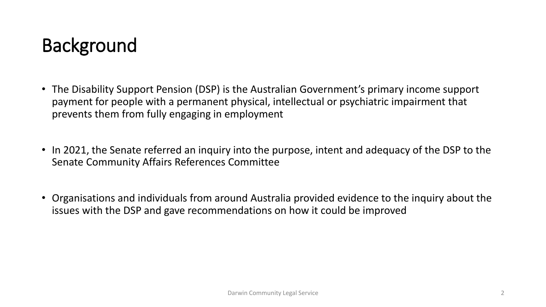## Background

- The Disability Support Pension (DSP) is the Australian Government's primary income support payment for people with a permanent physical, intellectual or psychiatric impairment that prevents them from fully engaging in employment
- In 2021, the Senate referred an inquiry into the purpose, intent and adequacy of the DSP to the Senate Community Affairs References Committee
- Organisations and individuals from around Australia provided evidence to the inquiry about the issues with the DSP and gave recommendations on how it could be improved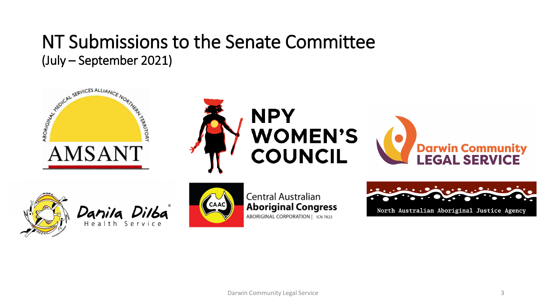#### NT Submissions to the Senate Committee (July – September 2021)





Danila Dilba



Central Australian **Aboriginal Congress** ABORIGINAL CORPORATION | ICN 7823

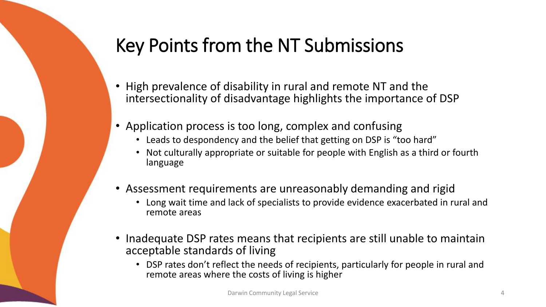## Key Points from the NT Submissions

- High prevalence of disability in rural and remote NT and the intersectionality of disadvantage highlights the importance of DSP
- Application process is too long, complex and confusing
	- Leads to despondency and the belief that getting on DSP is "too hard"
	- Not culturally appropriate or suitable for people with English as a third or fourth language
- Assessment requirements are unreasonably demanding and rigid
	- Long wait time and lack of specialists to provide evidence exacerbated in rural and remote areas
- Inadequate DSP rates means that recipients are still unable to maintain acceptable standards of living
	- DSP rates don't reflect the needs of recipients, particularly for people in rural and remote areas where the costs of living is higher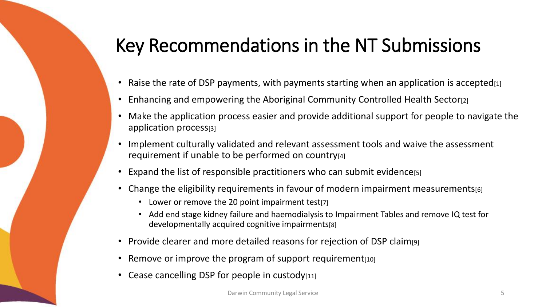# Key Recommendations in the NT Submissions

- Raise the rate of DSP payments, with payments starting when an application is accepted $[1]$
- Enhancing and empowering the Aboriginal Community Controlled Health Sector<sup>[2]</sup>
- Make the application process easier and provide additional support for people to navigate the application process[3]
- Implement culturally validated and relevant assessment tools and waive the assessment requirement if unable to be performed on country[4]
- Expand the list of responsible practitioners who can submit evidence[5]
- Change the eligibility requirements in favour of modern impairment measurements [6]
	- Lower or remove the 20 point impairment test[7]
	- Add end stage kidney failure and haemodialysis to Impairment Tables and remove IQ test for developmentally acquired cognitive impairments[8]
- Provide clearer and more detailed reasons for rejection of DSP claim[9]
- Remove or improve the program of support requirement [10]
- Cease cancelling DSP for people in custody $[11]$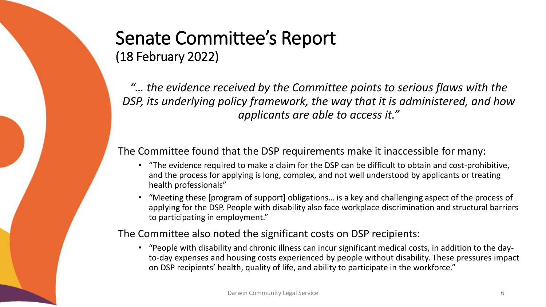#### Senate Committee's Report (18 February 2022)

*"… the evidence received by the Committee points to serious flaws with the DSP, its underlying policy framework, the way that it is administered, and how applicants are able to access it."*

#### The Committee found that the DSP requirements make it inaccessible for many:

- "The evidence required to make a claim for the DSP can be difficult to obtain and cost-prohibitive, and the process for applying is long, complex, and not well understood by applicants or treating health professionals"
- "Meeting these [program of support] obligations… is a key and challenging aspect of the process of applying for the DSP. People with disability also face workplace discrimination and structural barriers to participating in employment."

#### The Committee also noted the significant costs on DSP recipients:

• "People with disability and chronic illness can incur significant medical costs, in addition to the dayto-day expenses and housing costs experienced by people without disability. These pressures impact on DSP recipients' health, quality of life, and ability to participate in the workforce."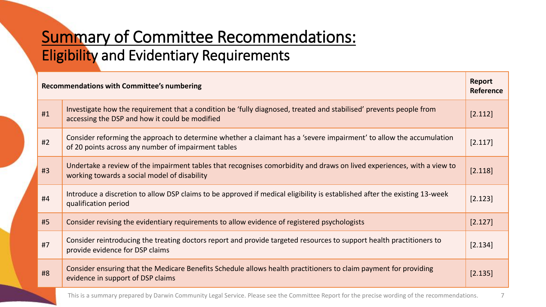### Summary of Committee Recommendations: Eligibility and Evidentiary Requirements

|    | <b>Recommendations with Committee's numbering</b>                                                                                                                          |         |
|----|----------------------------------------------------------------------------------------------------------------------------------------------------------------------------|---------|
| #1 | Investigate how the requirement that a condition be 'fully diagnosed, treated and stabilised' prevents people from<br>accessing the DSP and how it could be modified       | [2.112] |
| #2 | Consider reforming the approach to determine whether a claimant has a 'severe impairment' to allow the accumulation<br>of 20 points across any number of impairment tables | [2.117] |
| #3 | Undertake a review of the impairment tables that recognises comorbidity and draws on lived experiences, with a view to<br>working towards a social model of disability     | [2.118] |
| #4 | Introduce a discretion to allow DSP claims to be approved if medical eligibility is established after the existing 13-week<br>qualification period                         | [2.123] |
| #5 | Consider revising the evidentiary requirements to allow evidence of registered psychologists                                                                               | [2.127] |
| #7 | Consider reintroducing the treating doctors report and provide targeted resources to support health practitioners to<br>provide evidence for DSP claims                    | [2.134] |
| #8 | Consider ensuring that the Medicare Benefits Schedule allows health practitioners to claim payment for providing<br>evidence in support of DSP claims                      | [2.135] |
|    | This is a summary prepared by Darwin Community Legal Service. Please see the Committee Report for the precise wording of the recommendations.                              |         |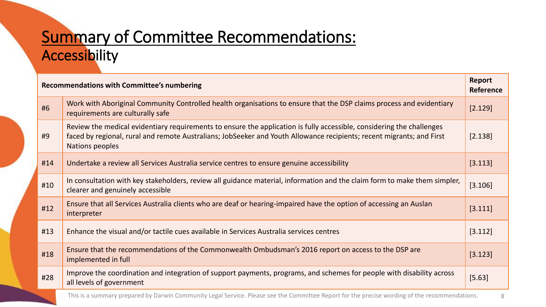### Summary of Committee Recommendations: Accessibility

| <b>Recommendations with Committee's numbering</b> |                                                                                                                                                                                                                                                                   | Report<br>Reference |
|---------------------------------------------------|-------------------------------------------------------------------------------------------------------------------------------------------------------------------------------------------------------------------------------------------------------------------|---------------------|
| #6                                                | Work with Aboriginal Community Controlled health organisations to ensure that the DSP claims process and evidentiary<br>requirements are culturally safe                                                                                                          | [2.129]             |
| #9                                                | Review the medical evidentiary requirements to ensure the application is fully accessible, considering the challenges<br>faced by regional, rural and remote Australians; JobSeeker and Youth Allowance recipients; recent migrants; and First<br>Nations peoples | [2.138]             |
| #14                                               | Undertake a review all Services Australia service centres to ensure genuine accessibility                                                                                                                                                                         | [3.113]             |
| #10                                               | In consultation with key stakeholders, review all guidance material, information and the claim form to make them simpler,<br>clearer and genuinely accessible                                                                                                     | [3.106]             |
| #12                                               | Ensure that all Services Australia clients who are deaf or hearing-impaired have the option of accessing an Auslan<br>interpreter                                                                                                                                 | [3.111]             |
| #13                                               | Enhance the visual and/or tactile cues available in Services Australia services centres                                                                                                                                                                           | [3.112]             |
| #18                                               | Ensure that the recommendations of the Commonwealth Ombudsman's 2016 report on access to the DSP are<br>implemented in full                                                                                                                                       | [3.123]             |
| #28                                               | Improve the coordination and integration of support payments, programs, and schemes for people with disability across<br>all levels of government                                                                                                                 | [5.63]              |
|                                                   | This is a summary prepared by Darwin Community Legal Service. Please see the Committee Report for the precise wording of the recommendations.                                                                                                                     | 8                   |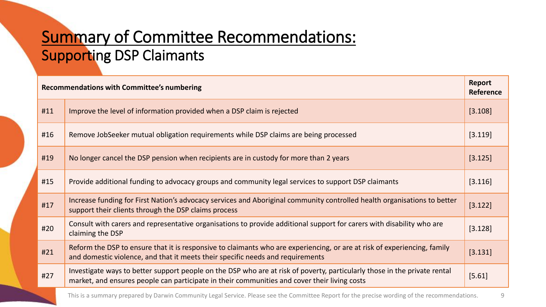### Summary of Committee Recommendations: Supporting DSP Claimants

| <b>Recommendations with Committee's numbering</b> |                                                                                                                                                                                                                           | <b>Report</b><br><b>Reference</b> |
|---------------------------------------------------|---------------------------------------------------------------------------------------------------------------------------------------------------------------------------------------------------------------------------|-----------------------------------|
| #11                                               | Improve the level of information provided when a DSP claim is rejected                                                                                                                                                    | [3.108]                           |
| #16                                               | Remove JobSeeker mutual obligation requirements while DSP claims are being processed                                                                                                                                      | [3.119]                           |
| #19                                               | No longer cancel the DSP pension when recipients are in custody for more than 2 years                                                                                                                                     | [3.125]                           |
| #15                                               | Provide additional funding to advocacy groups and community legal services to support DSP claimants                                                                                                                       | [3.116]                           |
| #17                                               | Increase funding for First Nation's advocacy services and Aboriginal community controlled health organisations to better<br>support their clients through the DSP claims process                                          | [3.122]                           |
| #20                                               | Consult with carers and representative organisations to provide additional support for carers with disability who are<br>claiming the DSP                                                                                 | [3.128]                           |
| #21                                               | Reform the DSP to ensure that it is responsive to claimants who are experiencing, or are at risk of experiencing, family<br>and domestic violence, and that it meets their specific needs and requirements                | [3.131]                           |
| #27                                               | Investigate ways to better support people on the DSP who are at risk of poverty, particularly those in the private rental<br>market, and ensures people can participate in their communities and cover their living costs | [5.61]                            |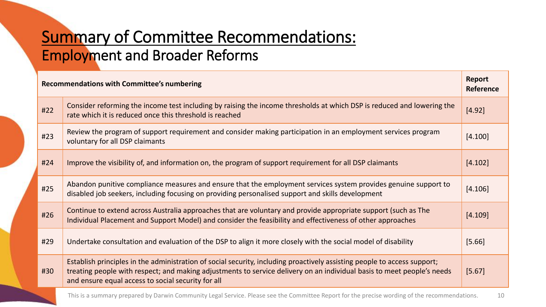#### Summary of Committee Recommendations: Employment and Broader Reforms

| <b>Recommendations with Committee's numbering</b> |                                                                                                                                                                                                                                                                                                          | Report<br><b>Reference</b> |
|---------------------------------------------------|----------------------------------------------------------------------------------------------------------------------------------------------------------------------------------------------------------------------------------------------------------------------------------------------------------|----------------------------|
| #22                                               | Consider reforming the income test including by raising the income thresholds at which DSP is reduced and lowering the<br>rate which it is reduced once this threshold is reached                                                                                                                        | [4.92]                     |
| #23                                               | Review the program of support requirement and consider making participation in an employment services program<br>voluntary for all DSP claimants                                                                                                                                                         | [4.100]                    |
| #24                                               | Improve the visibility of, and information on, the program of support requirement for all DSP claimants                                                                                                                                                                                                  | [4.102]                    |
| #25                                               | Abandon punitive compliance measures and ensure that the employment services system provides genuine support to<br>disabled job seekers, including focusing on providing personalised support and skills development                                                                                     | [4.106]                    |
| #26                                               | Continue to extend across Australia approaches that are voluntary and provide appropriate support (such as The<br>Individual Placement and Support Model) and consider the feasibility and effectiveness of other approaches                                                                             | [4.109]                    |
| #29                                               | Undertake consultation and evaluation of the DSP to align it more closely with the social model of disability                                                                                                                                                                                            | [5.66]                     |
| #30                                               | Establish principles in the administration of social security, including proactively assisting people to access support;<br>treating people with respect; and making adjustments to service delivery on an individual basis to meet people's needs<br>and ensure equal access to social security for all | [5.67]                     |

This is a summary prepared by Darwin Community Legal Service. Please see the Committee Report for the precise wording of the recommendations. 10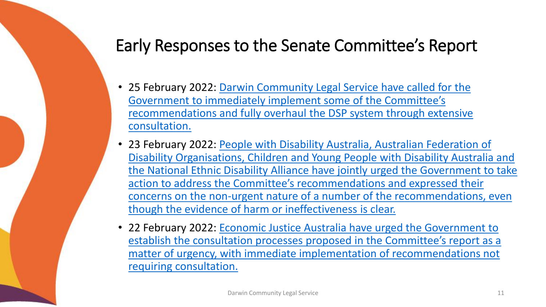### Early Responses to the Senate Committee's Report

- 25 February 2022: Darwin Community Legal Service have called for the Government to immediately implement some of the Committee's [recommendations and fully overhaul the DSP system through extensive](https://www.dcls.org.au/wp-content/uploads/2022/02/250222_DSP-Senate-Inquiry.pdf) consultation.
- 23 February 2022: People with Disability Australia, Australian Federation of Disability Organisations, Children and Young People with Disability Australia and [the National Ethnic Disability Alliance have jointly urged the Government to take](https://pwd.org.au/key-disability-advocacy-groups-join-with-acoss-to-urge-government-to-act-on-dsp-senate-inquiry-report/)  action to address the Committee's recommendations and expressed their concerns on the non-urgent nature of a number of the recommendations, even though the evidence of harm or ineffectiveness is clear.
- 22 February 2022: Economic Justice Australia have urged the Government to establish the consultation processes proposed in the Committee's report as a [matter of urgency, with immediate implementation of recommendations not](https://www.ejaustralia.org.au/wp/media-release/media-release-urgent-action-needed-to-implement-senate-committee-recommendations-on-disability-support-pension/)  requiring consultation.